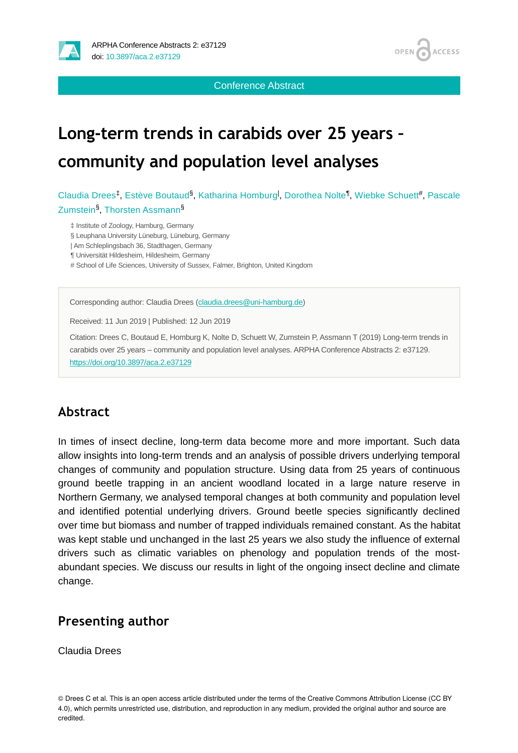

OPEN<sub>C</sub> **ACCESS** 

Conference Abstract

## **Long-term trends in carabids over 25 years – community and population level analyses**

Claudia Drees<sup>‡</sup>, Estève Boutaud<sup>§</sup>, Katharina Homburg<sup>I</sup>, Dorothea Nolte<sup>¶</sup>, Wiebke Schuett#, Pascale Zumstein<sup>§</sup>, Thorsten Assmann<sup>§</sup>

‡ Institute of Zoology, Hamburg, Germany

§ Leuphana University Lüneburg, Lüneburg, Germany

| Am Schleplingsbach 36, Stadthagen, Germany

¶ Universität Hildesheim, Hildesheim, Germany

# School of Life Sciences, University of Sussex, Falmer, Brighton, United Kingdom

Corresponding author: Claudia Drees ([claudia.drees@uni-hamburg.de](mailto:claudia.drees@uni-hamburg.de))

Received: 11 Jun 2019 | Published: 12 Jun 2019

Citation: Drees C, Boutaud E, Homburg K, Nolte D, Schuett W, Zumstein P, Assmann T (2019) Long-term trends in carabids over 25 years – community and population level analyses. ARPHA Conference Abstracts 2: e37129. <https://doi.org/10.3897/aca.2.e37129>

## **Abstract**

In times of insect decline, long-term data become more and more important. Such data allow insights into long-term trends and an analysis of possible drivers underlying temporal changes of community and population structure. Using data from 25 years of continuous ground beetle trapping in an ancient woodland located in a large nature reserve in Northern Germany, we analysed temporal changes at both community and population level and identified potential underlying drivers. Ground beetle species significantly declined over time but biomass and number of trapped individuals remained constant. As the habitat was kept stable und unchanged in the last 25 years we also study the influence of external drivers such as climatic variables on phenology and population trends of the mostabundant species. We discuss our results in light of the ongoing insect decline and climate change.

## **Presenting author**

Claudia Drees

© Drees C et al. This is an open access article distributed under the terms of the Creative Commons Attribution License (CC BY 4.0), which permits unrestricted use, distribution, and reproduction in any medium, provided the original author and source are credited.